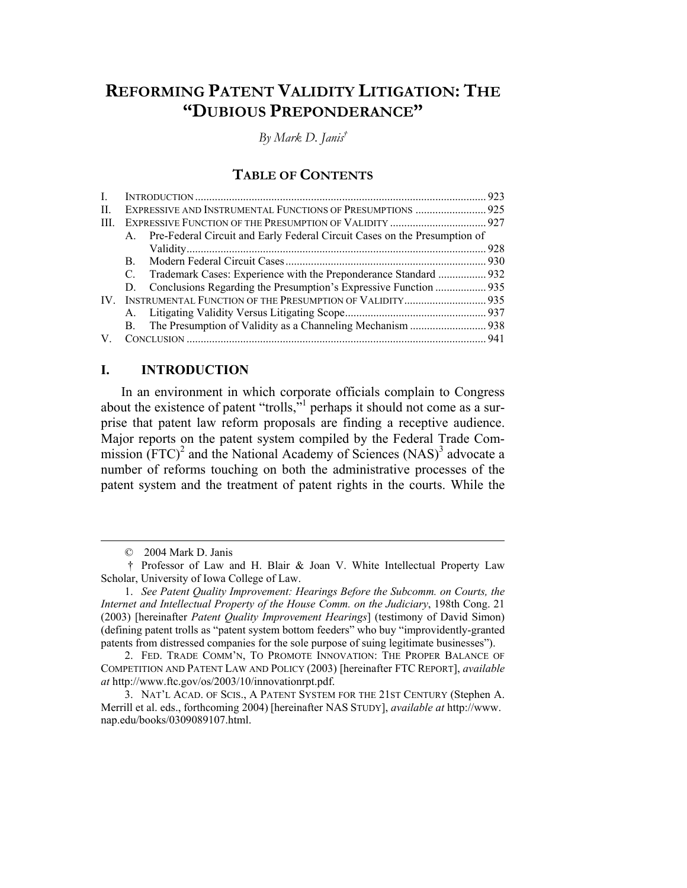# **REFORMING PATENT VALIDITY LITIGATION: THE "DUBIOUS PREPONDERANCE"**

*By Mark D. Janis†*

# **TABLE OF CONTENTS**

| L    |                                                                              |  |  |
|------|------------------------------------------------------------------------------|--|--|
| Н.   | EXPRESSIVE AND INSTRUMENTAL FUNCTIONS OF PRESUMPTIONS  925                   |  |  |
| III. |                                                                              |  |  |
|      | A. Pre-Federal Circuit and Early Federal Circuit Cases on the Presumption of |  |  |
|      |                                                                              |  |  |
|      | B.                                                                           |  |  |
|      | C.                                                                           |  |  |
|      |                                                                              |  |  |
| IV — | INSTRUMENTAL FUNCTION OF THE PRESUMPTION OF VALIDITY 935                     |  |  |
|      |                                                                              |  |  |
|      | <b>B.</b>                                                                    |  |  |
|      |                                                                              |  |  |

## **I. INTRODUCTION**

In an environment in which corporate officials complain to Congress about the existence of patent "trolls," perhaps it should not come as a surprise that patent law reform proposals are finding a receptive audience. Major reports on the patent system compiled by the Federal Trade Commission  $(FTC)^2$  and the National Academy of Sciences  $(NAS)^3$  advocate a number of reforms touching on both the administrative processes of the patent system and the treatment of patent rights in the courts. While the

 $\overline{\phantom{a}}$ 

 <sup>© 2004</sup> Mark D. Janis

 <sup>†</sup> Professor of Law and H. Blair & Joan V. White Intellectual Property Law Scholar, University of Iowa College of Law.

 <sup>1.</sup> *See Patent Quality Improvement: Hearings Before the Subcomm. on Courts, the Internet and Intellectual Property of the House Comm. on the Judiciary*, 198th Cong. 21 (2003) [hereinafter *Patent Quality Improvement Hearings*] (testimony of David Simon) (defining patent trolls as "patent system bottom feeders" who buy "improvidently-granted patents from distressed companies for the sole purpose of suing legitimate businesses").

 <sup>2.</sup> FED. TRADE COMM'N, TO PROMOTE INNOVATION: THE PROPER BALANCE OF COMPETITION AND PATENT LAW AND POLICY (2003) [hereinafter FTC REPORT], *available at* http://www.ftc.gov/os/2003/10/innovationrpt.pdf.

 <sup>3.</sup> NAT'L ACAD. OF SCIS., A PATENT SYSTEM FOR THE 21ST CENTURY (Stephen A. Merrill et al. eds., forthcoming 2004) [hereinafter NAS STUDY], *available at* http://www. nap.edu/books/0309089107.html.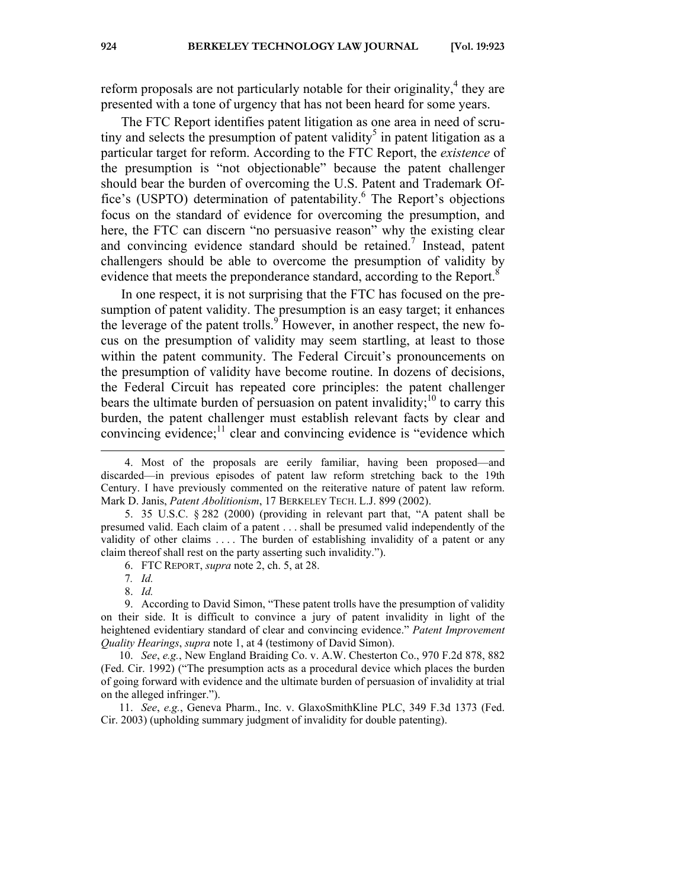reform proposals are not particularly notable for their originality, $4$  they are presented with a tone of urgency that has not been heard for some years.

The FTC Report identifies patent litigation as one area in need of scrutiny and selects the presumption of patent validity<sup>5</sup> in patent litigation as a particular target for reform. According to the FTC Report, the *existence* of the presumption is "not objectionable" because the patent challenger should bear the burden of overcoming the U.S. Patent and Trademark Office's (USPTO) determination of patentability.<sup>6</sup> The Report's objections focus on the standard of evidence for overcoming the presumption, and here, the FTC can discern "no persuasive reason" why the existing clear and convincing evidence standard should be retained.<sup>7</sup> Instead, patent challengers should be able to overcome the presumption of validity by evidence that meets the preponderance standard, according to the Report.<sup>8</sup>

In one respect, it is not surprising that the FTC has focused on the presumption of patent validity. The presumption is an easy target; it enhances the leverage of the patent trolls. $9^{\circ}$  However, in another respect, the new focus on the presumption of validity may seem startling, at least to those within the patent community. The Federal Circuit's pronouncements on the presumption of validity have become routine. In dozens of decisions, the Federal Circuit has repeated core principles: the patent challenger bears the ultimate burden of persuasion on patent invalidity;<sup>10</sup> to carry this burden, the patent challenger must establish relevant facts by clear and convincing evidence; $<sup>11</sup>$  clear and convincing evidence is "evidence which</sup>

 5. 35 U.S.C. § 282 (2000) (providing in relevant part that, "A patent shall be presumed valid. Each claim of a patent . . . shall be presumed valid independently of the validity of other claims . . . . The burden of establishing invalidity of a patent or any claim thereof shall rest on the party asserting such invalidity.").

 $\overline{\phantom{a}}$ 

 9. According to David Simon, "These patent trolls have the presumption of validity on their side. It is difficult to convince a jury of patent invalidity in light of the heightened evidentiary standard of clear and convincing evidence." *Patent Improvement Quality Hearings*, *supra* note 1, at 4 (testimony of David Simon).

 10. *See*, *e.g.*, New England Braiding Co. v. A.W. Chesterton Co., 970 F.2d 878, 882 (Fed. Cir. 1992) ("The presumption acts as a procedural device which places the burden of going forward with evidence and the ultimate burden of persuasion of invalidity at trial on the alleged infringer.").

 11. *See*, *e.g.*, Geneva Pharm., Inc. v. GlaxoSmithKline PLC, 349 F.3d 1373 (Fed. Cir. 2003) (upholding summary judgment of invalidity for double patenting).

 <sup>4.</sup> Most of the proposals are eerily familiar, having been proposed—and discarded—in previous episodes of patent law reform stretching back to the 19th Century. I have previously commented on the reiterative nature of patent law reform. Mark D. Janis, *Patent Abolitionism*, 17 BERKELEY TECH. L.J. 899 (2002).

 <sup>6.</sup> FTC REPORT, *supra* note 2, ch. 5, at 28.

<sup>7</sup>*. Id.*

 <sup>8.</sup> *Id.*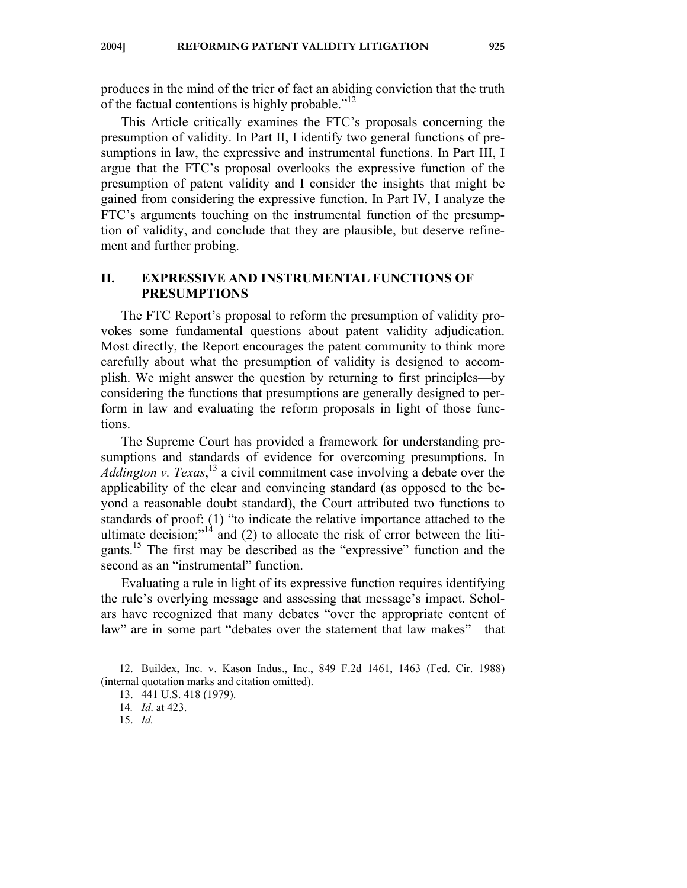produces in the mind of the trier of fact an abiding conviction that the truth of the factual contentions is highly probable." $12$ 

This Article critically examines the FTC's proposals concerning the presumption of validity. In Part II, I identify two general functions of presumptions in law, the expressive and instrumental functions. In Part III, I argue that the FTC's proposal overlooks the expressive function of the presumption of patent validity and I consider the insights that might be gained from considering the expressive function. In Part IV, I analyze the FTC's arguments touching on the instrumental function of the presumption of validity, and conclude that they are plausible, but deserve refinement and further probing.

## **II. EXPRESSIVE AND INSTRUMENTAL FUNCTIONS OF PRESUMPTIONS**

The FTC Report's proposal to reform the presumption of validity provokes some fundamental questions about patent validity adjudication. Most directly, the Report encourages the patent community to think more carefully about what the presumption of validity is designed to accomplish. We might answer the question by returning to first principles—by considering the functions that presumptions are generally designed to perform in law and evaluating the reform proposals in light of those functions.

The Supreme Court has provided a framework for understanding presumptions and standards of evidence for overcoming presumptions. In *Addington v. Texas*, 13 a civil commitment case involving a debate over the applicability of the clear and convincing standard (as opposed to the beyond a reasonable doubt standard), the Court attributed two functions to standards of proof: (1) "to indicate the relative importance attached to the ultimate decision;"<sup>14</sup> and (2) to allocate the risk of error between the litigants.15 The first may be described as the "expressive" function and the second as an "instrumental" function.

Evaluating a rule in light of its expressive function requires identifying the rule's overlying message and assessing that message's impact. Scholars have recognized that many debates "over the appropriate content of law" are in some part "debates over the statement that law makes"—that

 $\overline{\phantom{a}}$ 

 <sup>12.</sup> Buildex, Inc. v. Kason Indus., Inc., 849 F.2d 1461, 1463 (Fed. Cir. 1988) (internal quotation marks and citation omitted).

 <sup>13. 441</sup> U.S. 418 (1979).

<sup>14</sup>*. Id*. at 423.

 <sup>15.</sup> *Id.*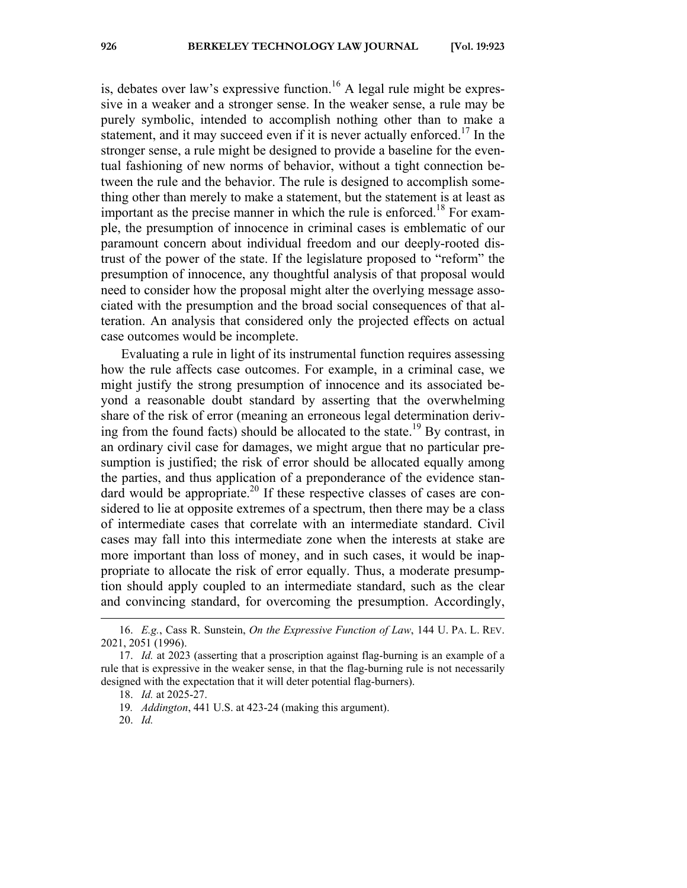is, debates over law's expressive function.<sup>16</sup> A legal rule might be expressive in a weaker and a stronger sense. In the weaker sense, a rule may be purely symbolic, intended to accomplish nothing other than to make a statement, and it may succeed even if it is never actually enforced.<sup>17</sup> In the stronger sense, a rule might be designed to provide a baseline for the eventual fashioning of new norms of behavior, without a tight connection between the rule and the behavior. The rule is designed to accomplish something other than merely to make a statement, but the statement is at least as important as the precise manner in which the rule is enforced.<sup>18</sup> For example, the presumption of innocence in criminal cases is emblematic of our paramount concern about individual freedom and our deeply-rooted distrust of the power of the state. If the legislature proposed to "reform" the presumption of innocence, any thoughtful analysis of that proposal would need to consider how the proposal might alter the overlying message associated with the presumption and the broad social consequences of that alteration. An analysis that considered only the projected effects on actual case outcomes would be incomplete.

Evaluating a rule in light of its instrumental function requires assessing how the rule affects case outcomes. For example, in a criminal case, we might justify the strong presumption of innocence and its associated beyond a reasonable doubt standard by asserting that the overwhelming share of the risk of error (meaning an erroneous legal determination deriving from the found facts) should be allocated to the state.<sup>19</sup> By contrast, in an ordinary civil case for damages, we might argue that no particular presumption is justified; the risk of error should be allocated equally among the parties, and thus application of a preponderance of the evidence standard would be appropriate.<sup>20</sup> If these respective classes of cases are considered to lie at opposite extremes of a spectrum, then there may be a class of intermediate cases that correlate with an intermediate standard. Civil cases may fall into this intermediate zone when the interests at stake are more important than loss of money, and in such cases, it would be inappropriate to allocate the risk of error equally. Thus, a moderate presumption should apply coupled to an intermediate standard, such as the clear and convincing standard, for overcoming the presumption. Accordingly,

 <sup>16.</sup> *E.g.*, Cass R. Sunstein, *On the Expressive Function of Law*, 144 U. PA. L. REV. 2021, 2051 (1996).

 <sup>17.</sup> *Id.* at 2023 (asserting that a proscription against flag-burning is an example of a rule that is expressive in the weaker sense, in that the flag-burning rule is not necessarily designed with the expectation that it will deter potential flag-burners).

 <sup>18.</sup> *Id.* at 2025-27.

<sup>19</sup>*. Addington*, 441 U.S. at 423-24 (making this argument).

 <sup>20.</sup> *Id.*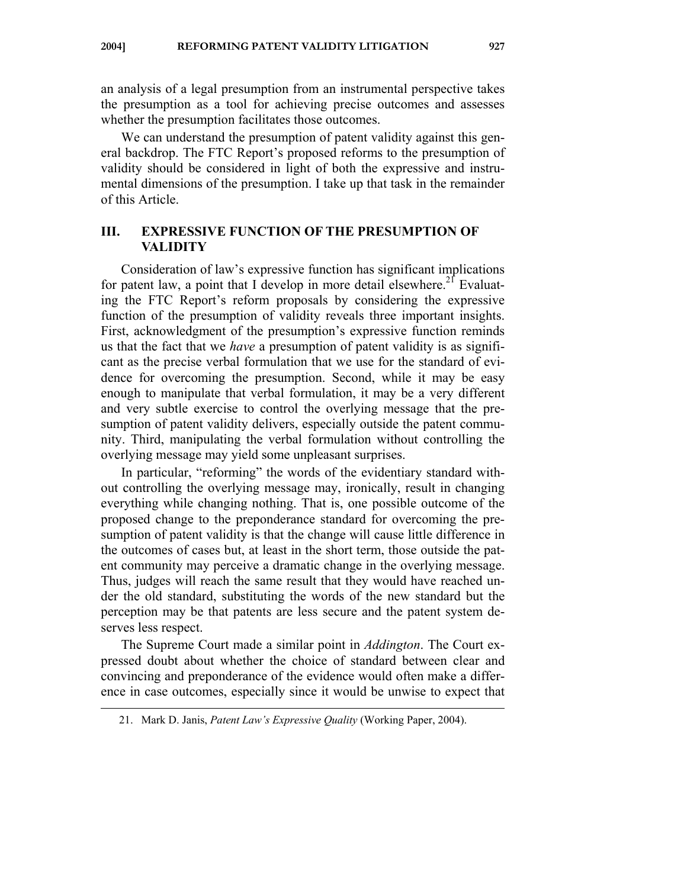**2004] REFORMING PATENT VALIDITY LITIGATION 927** 

an analysis of a legal presumption from an instrumental perspective takes the presumption as a tool for achieving precise outcomes and assesses whether the presumption facilitates those outcomes.

We can understand the presumption of patent validity against this general backdrop. The FTC Report's proposed reforms to the presumption of validity should be considered in light of both the expressive and instrumental dimensions of the presumption. I take up that task in the remainder of this Article.

## **III. EXPRESSIVE FUNCTION OF THE PRESUMPTION OF VALIDITY**

Consideration of law's expressive function has significant implications for patent law, a point that I develop in more detail elsewhere.<sup>21</sup> Evaluating the FTC Report's reform proposals by considering the expressive function of the presumption of validity reveals three important insights. First, acknowledgment of the presumption's expressive function reminds us that the fact that we *have* a presumption of patent validity is as significant as the precise verbal formulation that we use for the standard of evidence for overcoming the presumption. Second, while it may be easy enough to manipulate that verbal formulation, it may be a very different and very subtle exercise to control the overlying message that the presumption of patent validity delivers, especially outside the patent community. Third, manipulating the verbal formulation without controlling the overlying message may yield some unpleasant surprises.

In particular, "reforming" the words of the evidentiary standard without controlling the overlying message may, ironically, result in changing everything while changing nothing. That is, one possible outcome of the proposed change to the preponderance standard for overcoming the presumption of patent validity is that the change will cause little difference in the outcomes of cases but, at least in the short term, those outside the patent community may perceive a dramatic change in the overlying message. Thus, judges will reach the same result that they would have reached under the old standard, substituting the words of the new standard but the perception may be that patents are less secure and the patent system deserves less respect.

The Supreme Court made a similar point in *Addington*. The Court expressed doubt about whether the choice of standard between clear and convincing and preponderance of the evidence would often make a difference in case outcomes, especially since it would be unwise to expect that

 <sup>21.</sup> Mark D. Janis, *Patent Law's Expressive Quality* (Working Paper, 2004).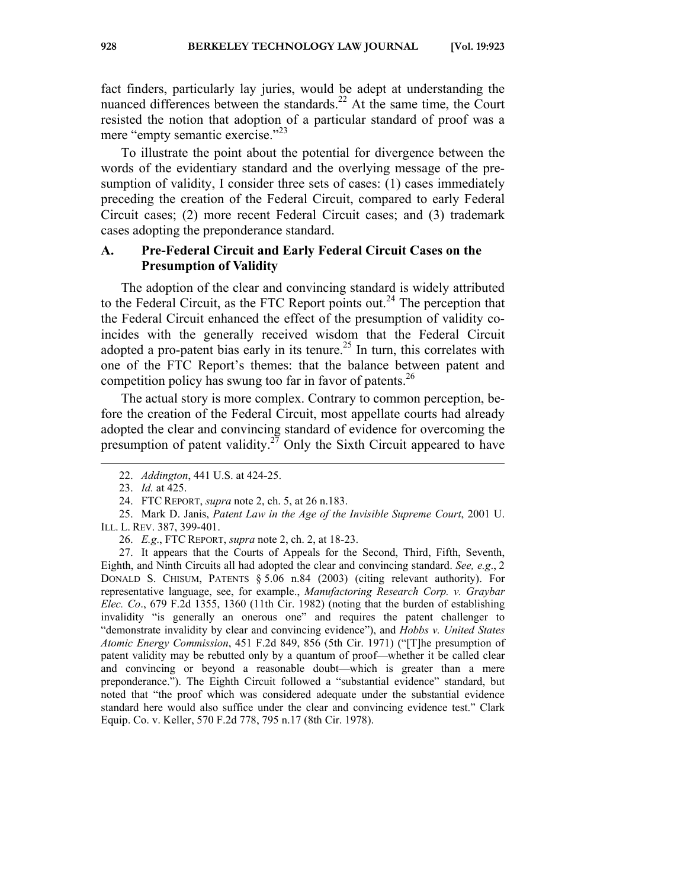fact finders, particularly lay juries, would be adept at understanding the nuanced differences between the standards.<sup>22</sup> At the same time, the Court resisted the notion that adoption of a particular standard of proof was a mere "empty semantic exercise."<sup>23</sup>

To illustrate the point about the potential for divergence between the words of the evidentiary standard and the overlying message of the presumption of validity, I consider three sets of cases: (1) cases immediately preceding the creation of the Federal Circuit, compared to early Federal Circuit cases; (2) more recent Federal Circuit cases; and (3) trademark cases adopting the preponderance standard.

## **A. Pre-Federal Circuit and Early Federal Circuit Cases on the Presumption of Validity**

The adoption of the clear and convincing standard is widely attributed to the Federal Circuit, as the FTC Report points out.<sup>24</sup> The perception that the Federal Circuit enhanced the effect of the presumption of validity coincides with the generally received wisdom that the Federal Circuit adopted a pro-patent bias early in its tenure.<sup>25</sup> In turn, this correlates with one of the FTC Report's themes: that the balance between patent and competition policy has swung too far in favor of patents.<sup>26</sup>

The actual story is more complex. Contrary to common perception, before the creation of the Federal Circuit, most appellate courts had already adopted the clear and convincing standard of evidence for overcoming the presumption of patent validity.<sup>27</sup> Only the Sixth Circuit appeared to have

 <sup>22.</sup> *Addington*, 441 U.S. at 424-25.

 <sup>23.</sup> *Id.* at 425.

 <sup>24.</sup> FTC REPORT, *supra* note 2, ch. 5, at 26 n.183.

 <sup>25.</sup> Mark D. Janis, *Patent Law in the Age of the Invisible Supreme Court*, 2001 U. ILL. L. REV. 387, 399-401.

 <sup>26.</sup> *E.g*., FTC REPORT, *supra* note 2, ch. 2, at 18-23.

 <sup>27.</sup> It appears that the Courts of Appeals for the Second, Third, Fifth, Seventh, Eighth, and Ninth Circuits all had adopted the clear and convincing standard. *See, e.g*., 2 DONALD S. CHISUM, PATENTS § 5.06 n.84 (2003) (citing relevant authority). For representative language, see, for example., *Manufactoring Research Corp. v. Graybar Elec. Co*., 679 F.2d 1355, 1360 (11th Cir. 1982) (noting that the burden of establishing invalidity "is generally an onerous one" and requires the patent challenger to "demonstrate invalidity by clear and convincing evidence"), and *Hobbs v. United States Atomic Energy Commission*, 451 F.2d 849, 856 (5th Cir. 1971) ("[T]he presumption of patent validity may be rebutted only by a quantum of proof—whether it be called clear and convincing or beyond a reasonable doubt—which is greater than a mere preponderance."). The Eighth Circuit followed a "substantial evidence" standard, but noted that "the proof which was considered adequate under the substantial evidence standard here would also suffice under the clear and convincing evidence test." Clark Equip. Co. v. Keller, 570 F.2d 778, 795 n.17 (8th Cir. 1978).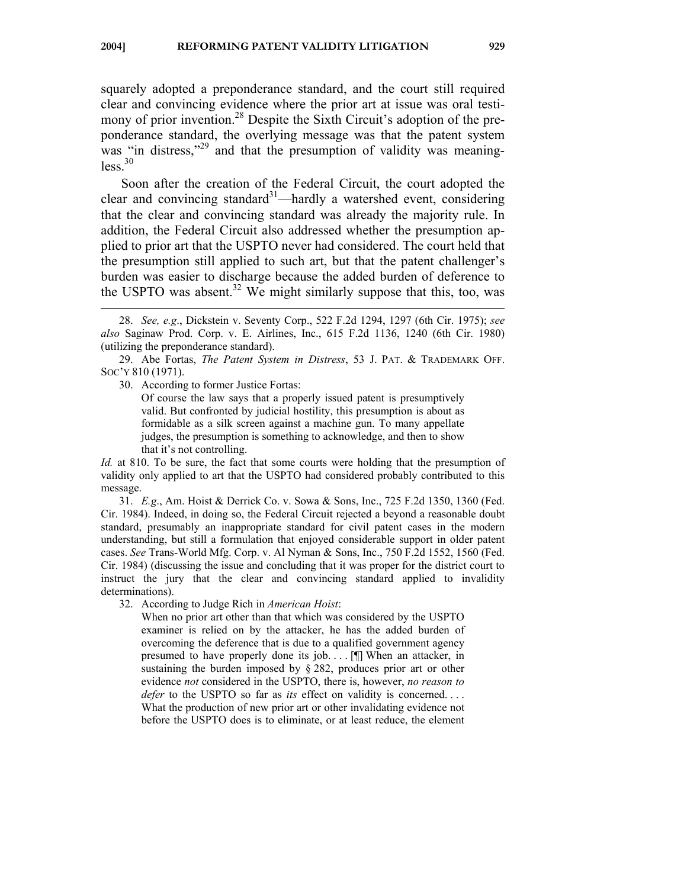squarely adopted a preponderance standard, and the court still required clear and convincing evidence where the prior art at issue was oral testimony of prior invention.<sup>28</sup> Despite the Sixth Circuit's adoption of the preponderance standard, the overlying message was that the patent system was "in distress,"<sup>29</sup> and that the presumption of validity was meaning $less<sup>30</sup>$ 

Soon after the creation of the Federal Circuit, the court adopted the clear and convincing standard<sup>31</sup>—hardly a watershed event, considering that the clear and convincing standard was already the majority rule. In addition, the Federal Circuit also addressed whether the presumption applied to prior art that the USPTO never had considered. The court held that the presumption still applied to such art, but that the patent challenger's burden was easier to discharge because the added burden of deference to the USPTO was absent.<sup>32</sup> We might similarly suppose that this, too, was

 $\overline{a}$ 

Of course the law says that a properly issued patent is presumptively valid. But confronted by judicial hostility, this presumption is about as formidable as a silk screen against a machine gun. To many appellate judges, the presumption is something to acknowledge, and then to show that it's not controlling.

*Id.* at 810. To be sure, the fact that some courts were holding that the presumption of validity only applied to art that the USPTO had considered probably contributed to this message.

 31. *E.g*., Am. Hoist & Derrick Co. v. Sowa & Sons, Inc., 725 F.2d 1350, 1360 (Fed. Cir. 1984). Indeed, in doing so, the Federal Circuit rejected a beyond a reasonable doubt standard, presumably an inappropriate standard for civil patent cases in the modern understanding, but still a formulation that enjoyed considerable support in older patent cases. *See* Trans-World Mfg. Corp. v. Al Nyman & Sons, Inc., 750 F.2d 1552, 1560 (Fed. Cir. 1984) (discussing the issue and concluding that it was proper for the district court to instruct the jury that the clear and convincing standard applied to invalidity determinations).

32. According to Judge Rich in *American Hoist*:

When no prior art other than that which was considered by the USPTO examiner is relied on by the attacker, he has the added burden of overcoming the deference that is due to a qualified government agency presumed to have properly done its job.  $\ldots$  [ $\parallel$ ] When an attacker, in sustaining the burden imposed by § 282, produces prior art or other evidence *not* considered in the USPTO, there is, however, *no reason to defer* to the USPTO so far as *its* effect on validity is concerned.... What the production of new prior art or other invalidating evidence not before the USPTO does is to eliminate, or at least reduce, the element

 <sup>28.</sup> *See, e.g*., Dickstein v. Seventy Corp., 522 F.2d 1294, 1297 (6th Cir. 1975); *see also* Saginaw Prod. Corp. v. E. Airlines, Inc., 615 F.2d 1136, 1240 (6th Cir. 1980) (utilizing the preponderance standard).

 <sup>29.</sup> Abe Fortas, *The Patent System in Distress*, 53 J. PAT. & TRADEMARK OFF. SOC'Y 810 (1971).

 <sup>30.</sup> According to former Justice Fortas: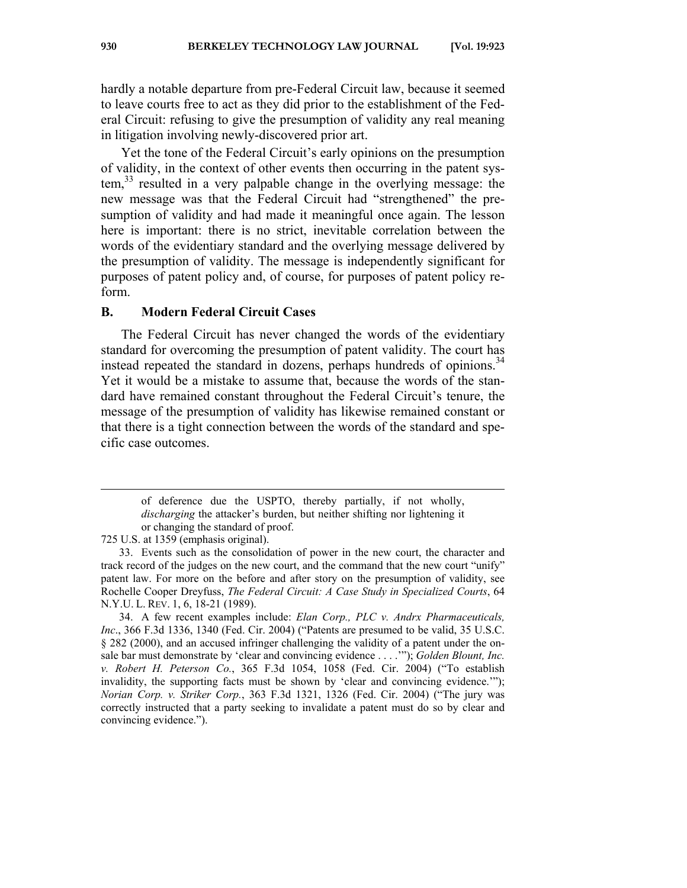hardly a notable departure from pre-Federal Circuit law, because it seemed to leave courts free to act as they did prior to the establishment of the Federal Circuit: refusing to give the presumption of validity any real meaning in litigation involving newly-discovered prior art.

Yet the tone of the Federal Circuit's early opinions on the presumption of validity, in the context of other events then occurring in the patent system,33 resulted in a very palpable change in the overlying message: the new message was that the Federal Circuit had "strengthened" the presumption of validity and had made it meaningful once again. The lesson here is important: there is no strict, inevitable correlation between the words of the evidentiary standard and the overlying message delivered by the presumption of validity. The message is independently significant for purposes of patent policy and, of course, for purposes of patent policy reform.

#### **B. Modern Federal Circuit Cases**

The Federal Circuit has never changed the words of the evidentiary standard for overcoming the presumption of patent validity. The court has instead repeated the standard in dozens, perhaps hundreds of opinions.<sup>34</sup> Yet it would be a mistake to assume that, because the words of the standard have remained constant throughout the Federal Circuit's tenure, the message of the presumption of validity has likewise remained constant or that there is a tight connection between the words of the standard and specific case outcomes.

of deference due the USPTO, thereby partially, if not wholly, *discharging* the attacker's burden, but neither shifting nor lightening it or changing the standard of proof.

<sup>725</sup> U.S. at 1359 (emphasis original).

 <sup>33.</sup> Events such as the consolidation of power in the new court, the character and track record of the judges on the new court, and the command that the new court "unify" patent law. For more on the before and after story on the presumption of validity, see Rochelle Cooper Dreyfuss, *The Federal Circuit: A Case Study in Specialized Courts*, 64 N.Y.U. L. REV. 1, 6, 18-21 (1989).

 <sup>34.</sup> A few recent examples include: *Elan Corp., PLC v. Andrx Pharmaceuticals, Inc*., 366 F.3d 1336, 1340 (Fed. Cir. 2004) ("Patents are presumed to be valid, 35 U.S.C. § 282 (2000), and an accused infringer challenging the validity of a patent under the onsale bar must demonstrate by 'clear and convincing evidence . . . .'"); *Golden Blount, Inc. v. Robert H. Peterson Co.*, 365 F.3d 1054, 1058 (Fed. Cir. 2004) ("To establish invalidity, the supporting facts must be shown by 'clear and convincing evidence.'"); *Norian Corp. v. Striker Corp.*, 363 F.3d 1321, 1326 (Fed. Cir. 2004) ("The jury was correctly instructed that a party seeking to invalidate a patent must do so by clear and convincing evidence.").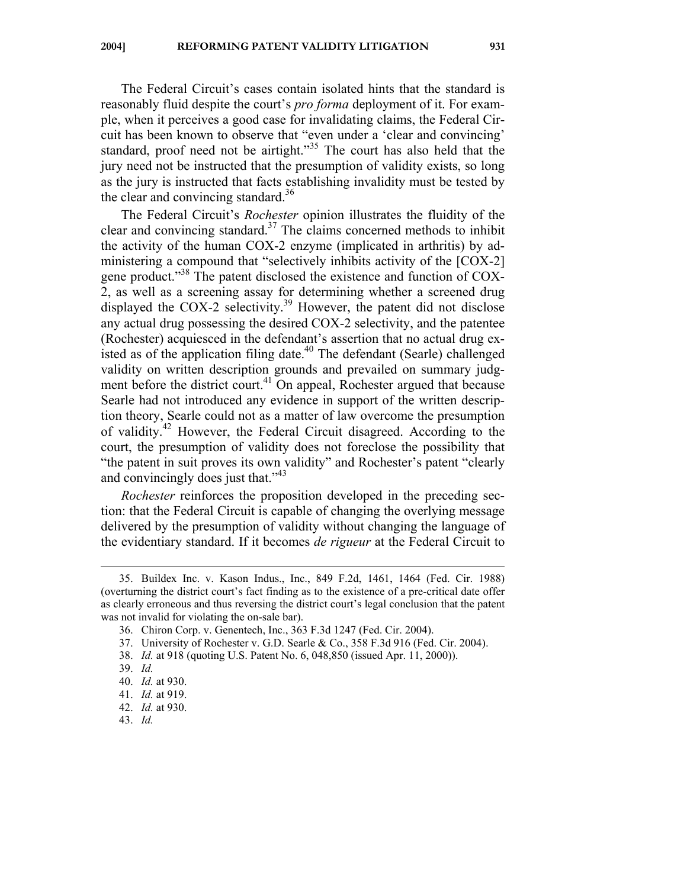The Federal Circuit's cases contain isolated hints that the standard is reasonably fluid despite the court's *pro forma* deployment of it. For example, when it perceives a good case for invalidating claims, the Federal Circuit has been known to observe that "even under a 'clear and convincing' standard, proof need not be airtight."<sup>35</sup> The court has also held that the jury need not be instructed that the presumption of validity exists, so long as the jury is instructed that facts establishing invalidity must be tested by the clear and convincing standard.<sup>36</sup>

The Federal Circuit's *Rochester* opinion illustrates the fluidity of the clear and convincing standard.<sup>37</sup> The claims concerned methods to inhibit the activity of the human COX-2 enzyme (implicated in arthritis) by administering a compound that "selectively inhibits activity of the [COX-2] gene product."38 The patent disclosed the existence and function of COX-2, as well as a screening assay for determining whether a screened drug displayed the COX-2 selectivity.<sup>39</sup> However, the patent did not disclose any actual drug possessing the desired COX-2 selectivity, and the patentee (Rochester) acquiesced in the defendant's assertion that no actual drug existed as of the application filing date.<sup>40</sup> The defendant (Searle) challenged validity on written description grounds and prevailed on summary judgment before the district court.<sup>41</sup> On appeal, Rochester argued that because Searle had not introduced any evidence in support of the written description theory, Searle could not as a matter of law overcome the presumption of validity.<sup>42</sup> However, the Federal Circuit disagreed. According to the court, the presumption of validity does not foreclose the possibility that "the patent in suit proves its own validity" and Rochester's patent "clearly and convincingly does just that."<sup>43</sup>

*Rochester* reinforces the proposition developed in the preceding section: that the Federal Circuit is capable of changing the overlying message delivered by the presumption of validity without changing the language of the evidentiary standard. If it becomes *de rigueur* at the Federal Circuit to

 $\overline{a}$ 

43. *Id.*

 <sup>35.</sup> Buildex Inc. v. Kason Indus., Inc., 849 F.2d, 1461, 1464 (Fed. Cir. 1988) (overturning the district court's fact finding as to the existence of a pre-critical date offer as clearly erroneous and thus reversing the district court's legal conclusion that the patent was not invalid for violating the on-sale bar).

 <sup>36.</sup> Chiron Corp. v. Genentech, Inc., 363 F.3d 1247 (Fed. Cir. 2004).

 <sup>37.</sup> University of Rochester v. G.D. Searle & Co., 358 F.3d 916 (Fed. Cir. 2004).

 <sup>38.</sup> *Id.* at 918 (quoting U.S. Patent No. 6, 048,850 (issued Apr. 11, 2000)).

 <sup>39.</sup> *Id.* 

 <sup>40.</sup> *Id.* at 930.

 <sup>41.</sup> *Id.* at 919.

 <sup>42.</sup> *Id.* at 930.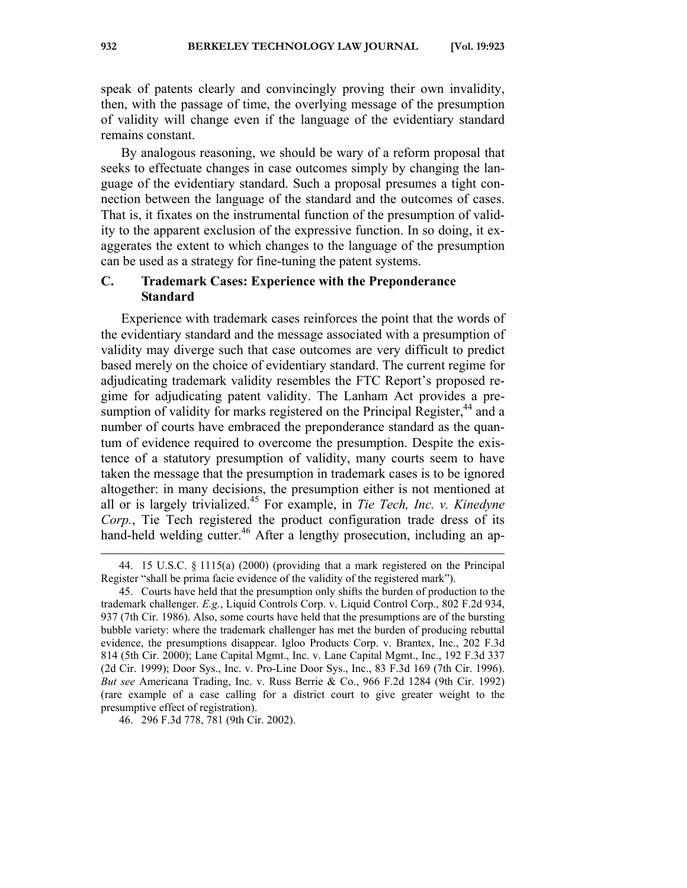speak of patents clearly and convincingly proving their own invalidity, then, with the passage of time, the overlying message of the presumption of validity will change even if the language of the evidentiary standard remains constant.

By analogous reasoning, we should be wary of a reform proposal that seeks to effectuate changes in case outcomes simply by changing the language of the evidentiary standard. Such a proposal presumes a tight connection between the language of the standard and the outcomes of cases. That is, it fixates on the instrumental function of the presumption of validity to the apparent exclusion of the expressive function. In so doing, it exaggerates the extent to which changes to the language of the presumption can be used as a strategy for fine-tuning the patent systems.

## **C. Trademark Cases: Experience with the Preponderance Standard**

Experience with trademark cases reinforces the point that the words of the evidentiary standard and the message associated with a presumption of validity may diverge such that case outcomes are very difficult to predict based merely on the choice of evidentiary standard. The current regime for adjudicating trademark validity resembles the FTC Report's proposed regime for adjudicating patent validity. The Lanham Act provides a presumption of validity for marks registered on the Principal Register,<sup>44</sup> and a number of courts have embraced the preponderance standard as the quantum of evidence required to overcome the presumption. Despite the existence of a statutory presumption of validity, many courts seem to have taken the message that the presumption in trademark cases is to be ignored altogether: in many decisions, the presumption either is not mentioned at all or is largely trivialized.45 For example, in *Tie Tech, Inc. v. Kinedyne Corp.*, Tie Tech registered the product configuration trade dress of its hand-held welding cutter.<sup>46</sup> After a lengthy prosecution, including an ap-

46. 296 F.3d 778, 781 (9th Cir. 2002).

 <sup>44. 15</sup> U.S.C. § 1115(a) (2000) (providing that a mark registered on the Principal Register "shall be prima facie evidence of the validity of the registered mark").

 <sup>45.</sup> Courts have held that the presumption only shifts the burden of production to the trademark challenger. *E.g.*, Liquid Controls Corp. v. Liquid Control Corp., 802 F.2d 934, 937 (7th Cir. 1986). Also, some courts have held that the presumptions are of the bursting bubble variety: where the trademark challenger has met the burden of producing rebuttal evidence, the presumptions disappear. Igloo Products Corp. v. Brantex, Inc., 202 F.3d 814 (5th Cir. 2000); Lane Capital Mgmt., Inc. v. Lane Capital Mgmt., Inc., 192 F.3d 337 (2d Cir. 1999); Door Sys., Inc. v. Pro-Line Door Sys., Inc., 83 F.3d 169 (7th Cir. 1996). *But see* Americana Trading, Inc. v. Russ Berrie & Co., 966 F.2d 1284 (9th Cir. 1992) (rare example of a case calling for a district court to give greater weight to the presumptive effect of registration).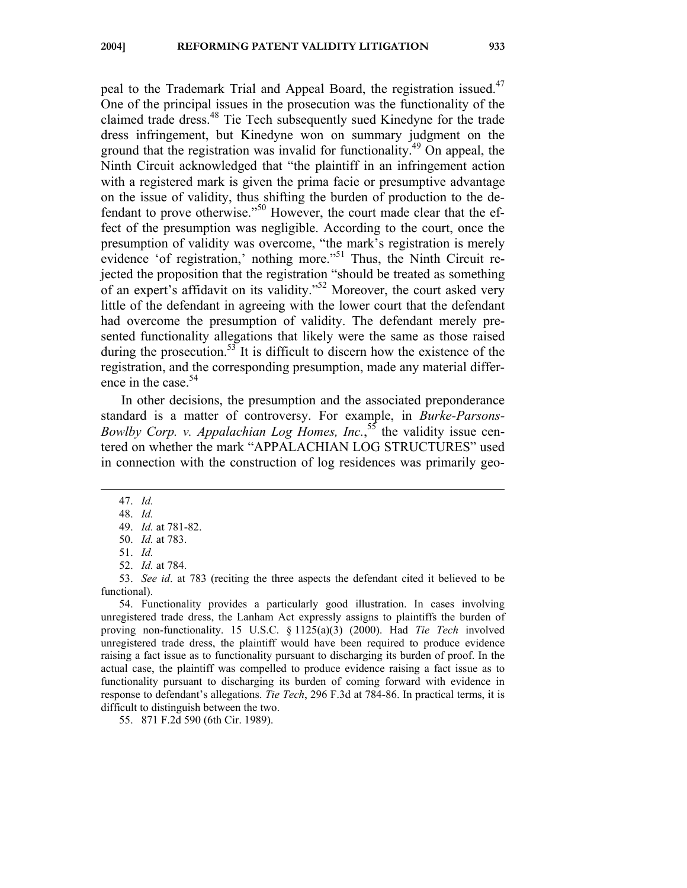peal to the Trademark Trial and Appeal Board, the registration issued.<sup>47</sup> One of the principal issues in the prosecution was the functionality of the claimed trade dress.48 Tie Tech subsequently sued Kinedyne for the trade dress infringement, but Kinedyne won on summary judgment on the ground that the registration was invalid for functionality.<sup>49</sup> On appeal, the Ninth Circuit acknowledged that "the plaintiff in an infringement action with a registered mark is given the prima facie or presumptive advantage on the issue of validity, thus shifting the burden of production to the defendant to prove otherwise."50 However, the court made clear that the effect of the presumption was negligible. According to the court, once the presumption of validity was overcome, "the mark's registration is merely evidence 'of registration,' nothing more."<sup>51</sup> Thus, the Ninth Circuit rejected the proposition that the registration "should be treated as something of an expert's affidavit on its validity."<sup>52</sup> Moreover, the court asked very little of the defendant in agreeing with the lower court that the defendant had overcome the presumption of validity. The defendant merely presented functionality allegations that likely were the same as those raised during the prosecution.<sup>53</sup> It is difficult to discern how the existence of the registration, and the corresponding presumption, made any material difference in the case.<sup>54</sup>

In other decisions, the presumption and the associated preponderance standard is a matter of controversy. For example, in *Burke-Parsons-Bowlby Corp. v. Appalachian Log Homes, Inc.*, 55 the validity issue centered on whether the mark "APPALACHIAN LOG STRUCTURES" used in connection with the construction of log residences was primarily geo-

47. *Id.* 

 $\overline{a}$ 

- 51. *Id.*
- 52. *Id.* at 784.

 53. *See id*. at 783 (reciting the three aspects the defendant cited it believed to be functional).

 54. Functionality provides a particularly good illustration. In cases involving unregistered trade dress, the Lanham Act expressly assigns to plaintiffs the burden of proving non-functionality. 15 U.S.C. § 1125(a)(3) (2000). Had *Tie Tech* involved unregistered trade dress, the plaintiff would have been required to produce evidence raising a fact issue as to functionality pursuant to discharging its burden of proof. In the actual case, the plaintiff was compelled to produce evidence raising a fact issue as to functionality pursuant to discharging its burden of coming forward with evidence in response to defendant's allegations. *Tie Tech*, 296 F.3d at 784-86. In practical terms, it is difficult to distinguish between the two.

55. 871 F.2d 590 (6th Cir. 1989).

 <sup>48.</sup> *Id.*

 <sup>49.</sup> *Id.* at 781-82.

 <sup>50.</sup> *Id.* at 783.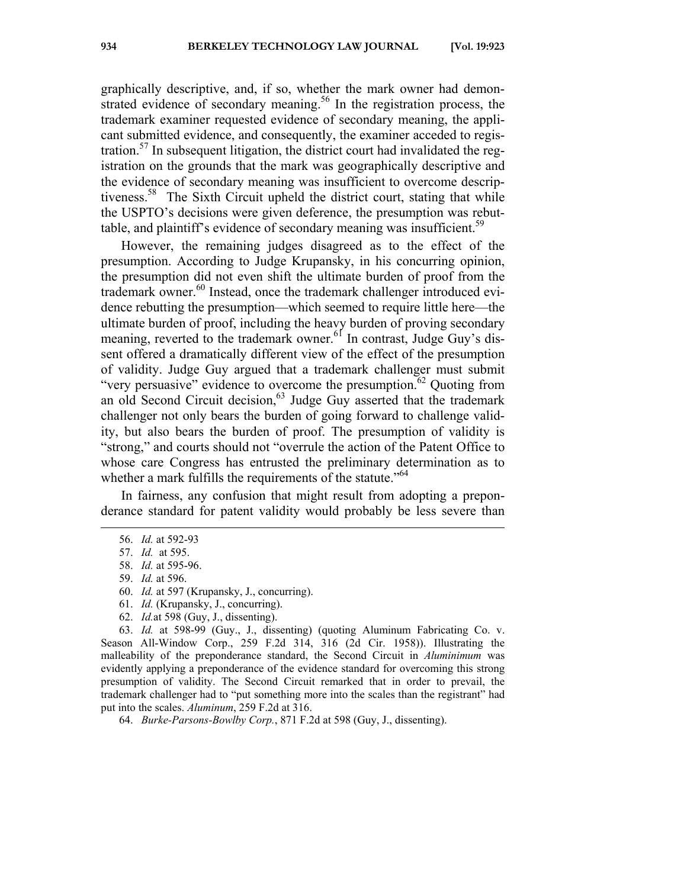graphically descriptive, and, if so, whether the mark owner had demonstrated evidence of secondary meaning.<sup>56</sup> In the registration process, the trademark examiner requested evidence of secondary meaning, the applicant submitted evidence, and consequently, the examiner acceded to registration.<sup>57</sup> In subsequent litigation, the district court had invalidated the registration on the grounds that the mark was geographically descriptive and the evidence of secondary meaning was insufficient to overcome descriptiveness.<sup>58</sup> The Sixth Circuit upheld the district court, stating that while the USPTO's decisions were given deference, the presumption was rebuttable, and plaintiff's evidence of secondary meaning was insufficient.<sup>59</sup>

However, the remaining judges disagreed as to the effect of the presumption. According to Judge Krupansky, in his concurring opinion, the presumption did not even shift the ultimate burden of proof from the trademark owner.<sup>60</sup> Instead, once the trademark challenger introduced evidence rebutting the presumption—which seemed to require little here—the ultimate burden of proof, including the heavy burden of proving secondary meaning, reverted to the trademark owner.<sup>61</sup> In contrast, Judge Guy's dissent offered a dramatically different view of the effect of the presumption of validity. Judge Guy argued that a trademark challenger must submit "very persuasive" evidence to overcome the presumption.<sup>62</sup> Quoting from an old Second Circuit decision,  $63$  Judge Guy asserted that the trademark challenger not only bears the burden of going forward to challenge validity, but also bears the burden of proof. The presumption of validity is "strong," and courts should not "overrule the action of the Patent Office to whose care Congress has entrusted the preliminary determination as to whether a mark fulfills the requirements of the statute.<sup> $564$ </sup>

In fairness, any confusion that might result from adopting a preponderance standard for patent validity would probably be less severe than

 $\overline{a}$ 

- 58. *Id.* at 595-96.
- 59. *Id.* at 596.
- 60. *Id.* at 597 (Krupansky, J., concurring).
- 61. *Id.* (Krupansky, J., concurring).
- 62. *Id.*at 598 (Guy, J., dissenting).

 63. *Id.* at 598-99 (Guy., J., dissenting) (quoting Aluminum Fabricating Co. v. Season All-Window Corp., 259 F.2d 314, 316 (2d Cir. 1958)). Illustrating the malleability of the preponderance standard, the Second Circuit in *Aluminimum* was evidently applying a preponderance of the evidence standard for overcoming this strong presumption of validity. The Second Circuit remarked that in order to prevail, the trademark challenger had to "put something more into the scales than the registrant" had put into the scales. *Aluminum*, 259 F.2d at 316.

64. *Burke-Parsons-Bowlby Corp.*, 871 F.2d at 598 (Guy, J., dissenting).

 <sup>56.</sup> *Id.* at 592-93

 <sup>57.</sup> *Id.* at 595.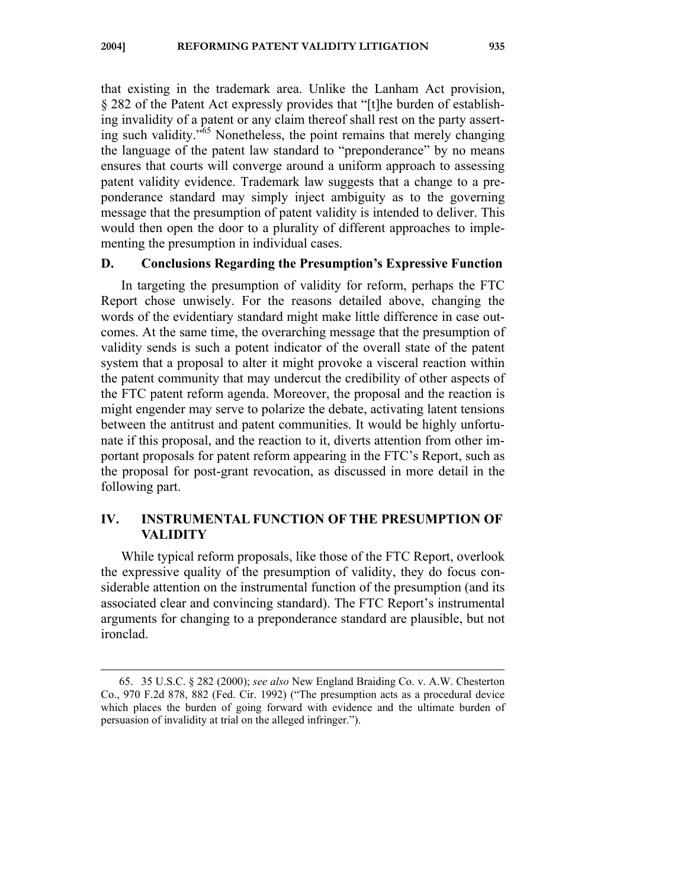that existing in the trademark area. Unlike the Lanham Act provision, § 282 of the Patent Act expressly provides that "[t]he burden of establishing invalidity of a patent or any claim thereof shall rest on the party asserting such validity."<sup>65</sup> Nonetheless, the point remains that merely changing the language of the patent law standard to "preponderance" by no means ensures that courts will converge around a uniform approach to assessing patent validity evidence. Trademark law suggests that a change to a preponderance standard may simply inject ambiguity as to the governing message that the presumption of patent validity is intended to deliver. This would then open the door to a plurality of different approaches to implementing the presumption in individual cases.

## **D. Conclusions Regarding the Presumption's Expressive Function**

In targeting the presumption of validity for reform, perhaps the FTC Report chose unwisely. For the reasons detailed above, changing the words of the evidentiary standard might make little difference in case outcomes. At the same time, the overarching message that the presumption of validity sends is such a potent indicator of the overall state of the patent system that a proposal to alter it might provoke a visceral reaction within the patent community that may undercut the credibility of other aspects of the FTC patent reform agenda. Moreover, the proposal and the reaction is might engender may serve to polarize the debate, activating latent tensions between the antitrust and patent communities. It would be highly unfortunate if this proposal, and the reaction to it, diverts attention from other important proposals for patent reform appearing in the FTC's Report, such as the proposal for post-grant revocation, as discussed in more detail in the following part.

# **IV. INSTRUMENTAL FUNCTION OF THE PRESUMPTION OF VALIDITY**

While typical reform proposals, like those of the FTC Report, overlook the expressive quality of the presumption of validity, they do focus considerable attention on the instrumental function of the presumption (and its associated clear and convincing standard). The FTC Report's instrumental arguments for changing to a preponderance standard are plausible, but not ironclad.

 <sup>65. 35</sup> U.S.C. § 282 (2000); *see also* New England Braiding Co. v. A.W. Chesterton Co., 970 F.2d 878, 882 (Fed. Cir. 1992) ("The presumption acts as a procedural device which places the burden of going forward with evidence and the ultimate burden of persuasion of invalidity at trial on the alleged infringer.").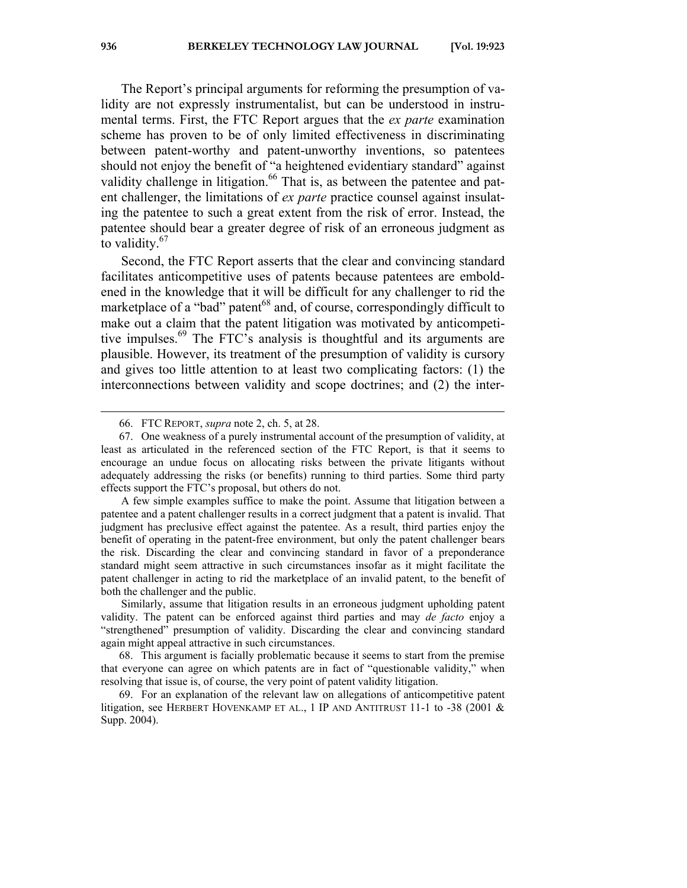The Report's principal arguments for reforming the presumption of validity are not expressly instrumentalist, but can be understood in instrumental terms. First, the FTC Report argues that the *ex parte* examination scheme has proven to be of only limited effectiveness in discriminating between patent-worthy and patent-unworthy inventions, so patentees should not enjoy the benefit of "a heightened evidentiary standard" against validity challenge in litigation.<sup>66</sup> That is, as between the patentee and patent challenger, the limitations of *ex parte* practice counsel against insulating the patentee to such a great extent from the risk of error. Instead, the patentee should bear a greater degree of risk of an erroneous judgment as to validity.<sup>67</sup>

Second, the FTC Report asserts that the clear and convincing standard facilitates anticompetitive uses of patents because patentees are emboldened in the knowledge that it will be difficult for any challenger to rid the marketplace of a "bad" patent<sup>68</sup> and, of course, correspondingly difficult to make out a claim that the patent litigation was motivated by anticompetitive impulses. $69$  The FTC's analysis is thoughtful and its arguments are plausible. However, its treatment of the presumption of validity is cursory and gives too little attention to at least two complicating factors: (1) the interconnections between validity and scope doctrines; and (2) the inter-

Similarly, assume that litigation results in an erroneous judgment upholding patent validity. The patent can be enforced against third parties and may *de facto* enjoy a "strengthened" presumption of validity. Discarding the clear and convincing standard again might appeal attractive in such circumstances.

 69. For an explanation of the relevant law on allegations of anticompetitive patent litigation, see HERBERT HOVENKAMP ET AL., 1 IP AND ANTITRUST 11-1 to -38 (2001 & Supp. 2004).

 <sup>66.</sup> FTC REPORT, *supra* note 2, ch. 5, at 28.

 <sup>67.</sup> One weakness of a purely instrumental account of the presumption of validity, at least as articulated in the referenced section of the FTC Report, is that it seems to encourage an undue focus on allocating risks between the private litigants without adequately addressing the risks (or benefits) running to third parties. Some third party effects support the FTC's proposal, but others do not.

A few simple examples suffice to make the point. Assume that litigation between a patentee and a patent challenger results in a correct judgment that a patent is invalid. That judgment has preclusive effect against the patentee. As a result, third parties enjoy the benefit of operating in the patent-free environment, but only the patent challenger bears the risk. Discarding the clear and convincing standard in favor of a preponderance standard might seem attractive in such circumstances insofar as it might facilitate the patent challenger in acting to rid the marketplace of an invalid patent, to the benefit of both the challenger and the public.

 <sup>68.</sup> This argument is facially problematic because it seems to start from the premise that everyone can agree on which patents are in fact of "questionable validity," when resolving that issue is, of course, the very point of patent validity litigation.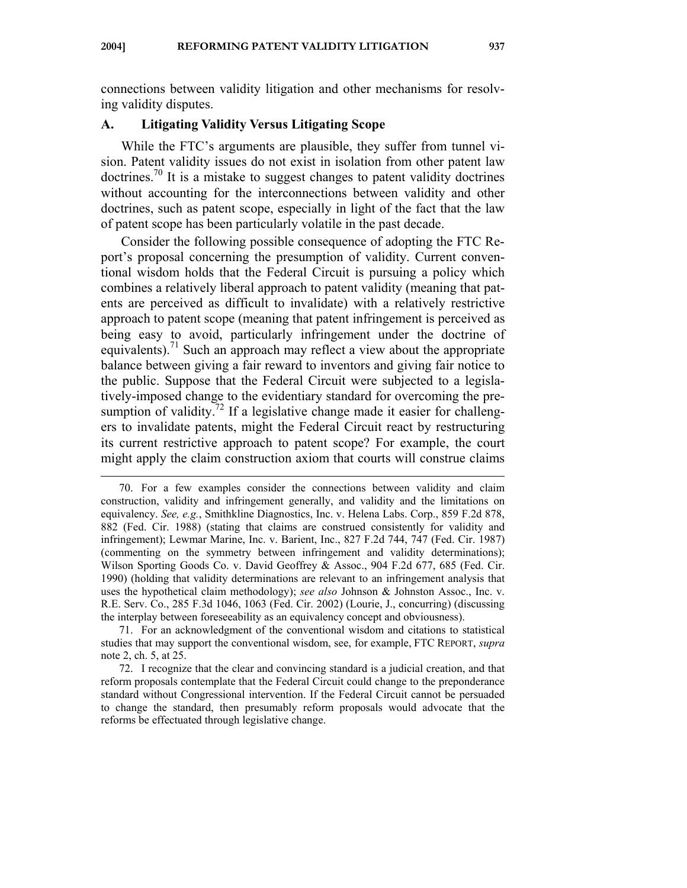connections between validity litigation and other mechanisms for resolving validity disputes.

#### **A. Litigating Validity Versus Litigating Scope**

 $\overline{a}$ 

While the FTC's arguments are plausible, they suffer from tunnel vision. Patent validity issues do not exist in isolation from other patent law doctrines.<sup>70</sup> It is a mistake to suggest changes to patent validity doctrines without accounting for the interconnections between validity and other doctrines, such as patent scope, especially in light of the fact that the law of patent scope has been particularly volatile in the past decade.

Consider the following possible consequence of adopting the FTC Report's proposal concerning the presumption of validity. Current conventional wisdom holds that the Federal Circuit is pursuing a policy which combines a relatively liberal approach to patent validity (meaning that patents are perceived as difficult to invalidate) with a relatively restrictive approach to patent scope (meaning that patent infringement is perceived as being easy to avoid, particularly infringement under the doctrine of equivalents).<sup>71</sup> Such an approach may reflect a view about the appropriate balance between giving a fair reward to inventors and giving fair notice to the public. Suppose that the Federal Circuit were subjected to a legislatively-imposed change to the evidentiary standard for overcoming the presumption of validity.<sup>72</sup> If a legislative change made it easier for challengers to invalidate patents, might the Federal Circuit react by restructuring its current restrictive approach to patent scope? For example, the court might apply the claim construction axiom that courts will construe claims

 71. For an acknowledgment of the conventional wisdom and citations to statistical studies that may support the conventional wisdom, see, for example, FTC REPORT, *supra* note 2, ch. 5, at 25.

 72. I recognize that the clear and convincing standard is a judicial creation, and that reform proposals contemplate that the Federal Circuit could change to the preponderance standard without Congressional intervention. If the Federal Circuit cannot be persuaded to change the standard, then presumably reform proposals would advocate that the reforms be effectuated through legislative change.

 <sup>70.</sup> For a few examples consider the connections between validity and claim construction, validity and infringement generally, and validity and the limitations on equivalency. *See, e.g.*, Smithkline Diagnostics, Inc. v. Helena Labs. Corp., 859 F.2d 878, 882 (Fed. Cir. 1988) (stating that claims are construed consistently for validity and infringement); Lewmar Marine, Inc. v. Barient, Inc., 827 F.2d 744, 747 (Fed. Cir. 1987) (commenting on the symmetry between infringement and validity determinations); Wilson Sporting Goods Co. v. David Geoffrey & Assoc., 904 F.2d 677, 685 (Fed. Cir. 1990) (holding that validity determinations are relevant to an infringement analysis that uses the hypothetical claim methodology); *see also* Johnson & Johnston Assoc., Inc. v. R.E. Serv. Co., 285 F.3d 1046, 1063 (Fed. Cir. 2002) (Lourie, J., concurring) (discussing the interplay between foreseeability as an equivalency concept and obviousness).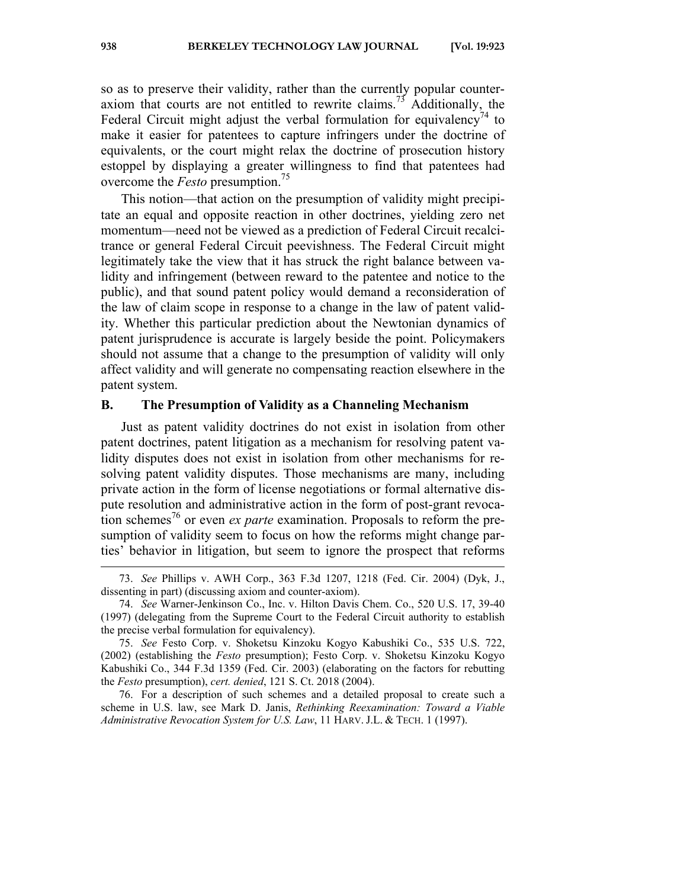so as to preserve their validity, rather than the currently popular counteraxiom that courts are not entitled to rewrite claims.<sup>73</sup> Additionally, the Federal Circuit might adjust the verbal formulation for equivalency<sup>74</sup> to make it easier for patentees to capture infringers under the doctrine of equivalents, or the court might relax the doctrine of prosecution history estoppel by displaying a greater willingness to find that patentees had overcome the *Festo* presumption.<sup>75</sup>

This notion—that action on the presumption of validity might precipitate an equal and opposite reaction in other doctrines, yielding zero net momentum—need not be viewed as a prediction of Federal Circuit recalcitrance or general Federal Circuit peevishness. The Federal Circuit might legitimately take the view that it has struck the right balance between validity and infringement (between reward to the patentee and notice to the public), and that sound patent policy would demand a reconsideration of the law of claim scope in response to a change in the law of patent validity. Whether this particular prediction about the Newtonian dynamics of patent jurisprudence is accurate is largely beside the point. Policymakers should not assume that a change to the presumption of validity will only affect validity and will generate no compensating reaction elsewhere in the patent system.

#### **B. The Presumption of Validity as a Channeling Mechanism**

Just as patent validity doctrines do not exist in isolation from other patent doctrines, patent litigation as a mechanism for resolving patent validity disputes does not exist in isolation from other mechanisms for resolving patent validity disputes. Those mechanisms are many, including private action in the form of license negotiations or formal alternative dispute resolution and administrative action in the form of post-grant revocation schemes<sup>76</sup> or even *ex parte* examination. Proposals to reform the presumption of validity seem to focus on how the reforms might change parties' behavior in litigation, but seem to ignore the prospect that reforms

 <sup>73.</sup> *See* Phillips v. AWH Corp., 363 F.3d 1207, 1218 (Fed. Cir. 2004) (Dyk, J., dissenting in part) (discussing axiom and counter-axiom).

 <sup>74.</sup> *See* Warner-Jenkinson Co., Inc. v. Hilton Davis Chem. Co., 520 U.S. 17, 39-40 (1997) (delegating from the Supreme Court to the Federal Circuit authority to establish the precise verbal formulation for equivalency).

 <sup>75.</sup> *See* Festo Corp. v. Shoketsu Kinzoku Kogyo Kabushiki Co., 535 U.S. 722, (2002) (establishing the *Festo* presumption); Festo Corp. v. Shoketsu Kinzoku Kogyo Kabushiki Co., 344 F.3d 1359 (Fed. Cir. 2003) (elaborating on the factors for rebutting the *Festo* presumption), *cert. denied*, 121 S. Ct. 2018 (2004).

 <sup>76.</sup> For a description of such schemes and a detailed proposal to create such a scheme in U.S. law, see Mark D. Janis, *Rethinking Reexamination: Toward a Viable Administrative Revocation System for U.S. Law*, 11 HARV. J.L. & TECH. 1 (1997).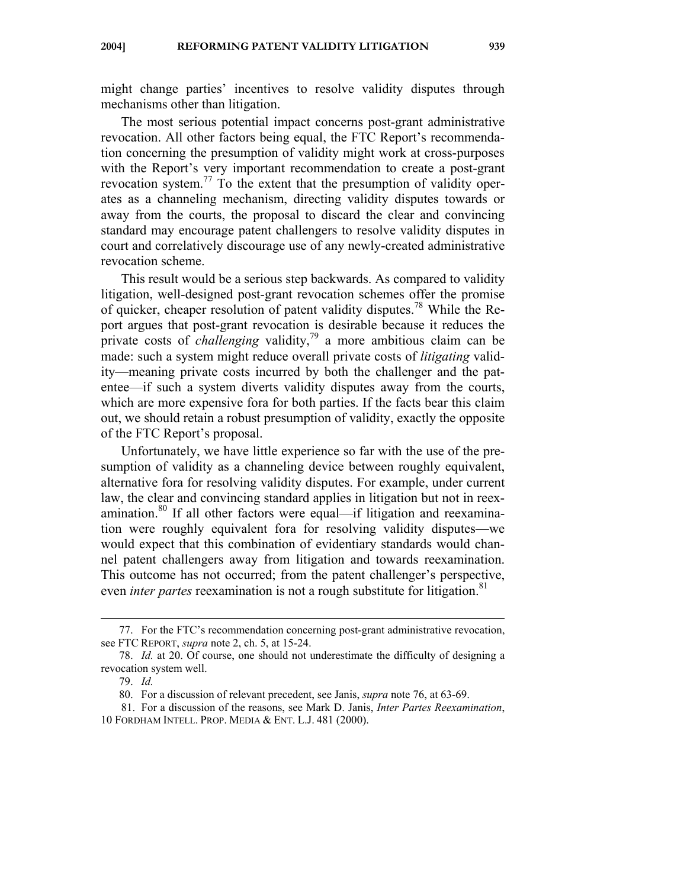might change parties' incentives to resolve validity disputes through mechanisms other than litigation.

The most serious potential impact concerns post-grant administrative revocation. All other factors being equal, the FTC Report's recommendation concerning the presumption of validity might work at cross-purposes with the Report's very important recommendation to create a post-grant revocation system.77 To the extent that the presumption of validity operates as a channeling mechanism, directing validity disputes towards or away from the courts, the proposal to discard the clear and convincing standard may encourage patent challengers to resolve validity disputes in court and correlatively discourage use of any newly-created administrative revocation scheme.

This result would be a serious step backwards. As compared to validity litigation, well-designed post-grant revocation schemes offer the promise of quicker, cheaper resolution of patent validity disputes.<sup>78</sup> While the Report argues that post-grant revocation is desirable because it reduces the private costs of *challenging* validity,79 a more ambitious claim can be made: such a system might reduce overall private costs of *litigating* validity—meaning private costs incurred by both the challenger and the patentee—if such a system diverts validity disputes away from the courts, which are more expensive fora for both parties. If the facts bear this claim out, we should retain a robust presumption of validity, exactly the opposite of the FTC Report's proposal.

Unfortunately, we have little experience so far with the use of the presumption of validity as a channeling device between roughly equivalent, alternative fora for resolving validity disputes. For example, under current law, the clear and convincing standard applies in litigation but not in reexamination.<sup>80</sup> If all other factors were equal—if litigation and reexamination were roughly equivalent fora for resolving validity disputes—we would expect that this combination of evidentiary standards would channel patent challengers away from litigation and towards reexamination. This outcome has not occurred; from the patent challenger's perspective, even *inter partes* reexamination is not a rough substitute for litigation.<sup>81</sup>

 <sup>77.</sup> For the FTC's recommendation concerning post-grant administrative revocation, see FTC REPORT, *supra* note 2, ch. 5, at 15-24.

 <sup>78.</sup> *Id.* at 20. Of course, one should not underestimate the difficulty of designing a revocation system well.

 <sup>79.</sup> *Id.*

 <sup>80.</sup> For a discussion of relevant precedent, see Janis, *supra* note 76, at 63-69.

<sup>81.</sup> For a discussion of the reasons, see Mark D. Janis, *Inter Partes Reexamination*, 10 FORDHAM INTELL. PROP. MEDIA & ENT. L.J. 481 (2000).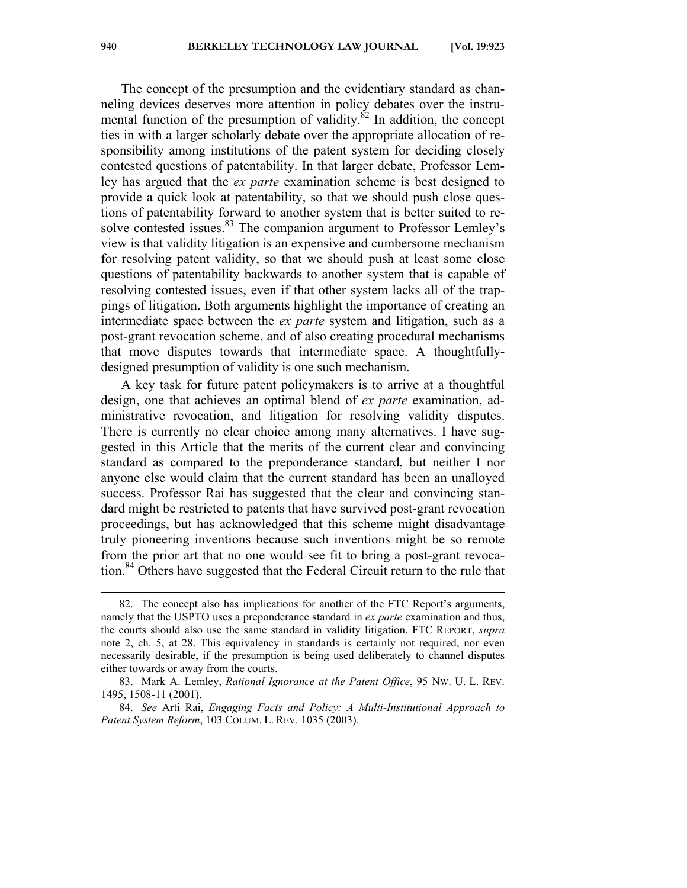The concept of the presumption and the evidentiary standard as channeling devices deserves more attention in policy debates over the instrumental function of the presumption of validity. ${}^{82}$  In addition, the concept ties in with a larger scholarly debate over the appropriate allocation of responsibility among institutions of the patent system for deciding closely contested questions of patentability. In that larger debate, Professor Lemley has argued that the *ex parte* examination scheme is best designed to provide a quick look at patentability, so that we should push close questions of patentability forward to another system that is better suited to resolve contested issues.<sup>83</sup> The companion argument to Professor Lemley's view is that validity litigation is an expensive and cumbersome mechanism for resolving patent validity, so that we should push at least some close questions of patentability backwards to another system that is capable of resolving contested issues, even if that other system lacks all of the trappings of litigation. Both arguments highlight the importance of creating an intermediate space between the *ex parte* system and litigation, such as a post-grant revocation scheme, and of also creating procedural mechanisms that move disputes towards that intermediate space. A thoughtfullydesigned presumption of validity is one such mechanism.

A key task for future patent policymakers is to arrive at a thoughtful design, one that achieves an optimal blend of *ex parte* examination, administrative revocation, and litigation for resolving validity disputes. There is currently no clear choice among many alternatives. I have suggested in this Article that the merits of the current clear and convincing standard as compared to the preponderance standard, but neither I nor anyone else would claim that the current standard has been an unalloyed success. Professor Rai has suggested that the clear and convincing standard might be restricted to patents that have survived post-grant revocation proceedings, but has acknowledged that this scheme might disadvantage truly pioneering inventions because such inventions might be so remote from the prior art that no one would see fit to bring a post-grant revocation.<sup>84</sup> Others have suggested that the Federal Circuit return to the rule that

 <sup>82.</sup> The concept also has implications for another of the FTC Report's arguments, namely that the USPTO uses a preponderance standard in *ex parte* examination and thus, the courts should also use the same standard in validity litigation. FTC REPORT, *supra* note 2, ch. 5, at 28. This equivalency in standards is certainly not required, nor even necessarily desirable, if the presumption is being used deliberately to channel disputes either towards or away from the courts.

 <sup>83.</sup> Mark A. Lemley, *Rational Ignorance at the Patent Office*, 95 NW. U. L. REV. 1495, 1508-11 (2001).

 <sup>84.</sup> *See* Arti Rai, *Engaging Facts and Policy: A Multi-Institutional Approach to Patent System Reform*, 103 COLUM. L. REV. 1035 (2003)*.*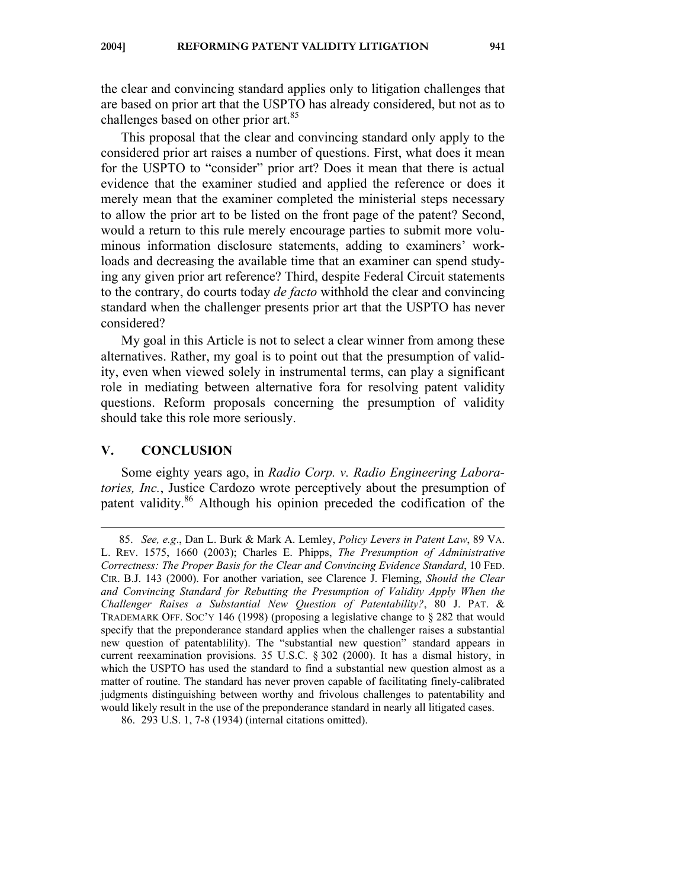the clear and convincing standard applies only to litigation challenges that are based on prior art that the USPTO has already considered, but not as to challenges based on other prior art.<sup>85</sup>

This proposal that the clear and convincing standard only apply to the considered prior art raises a number of questions. First, what does it mean for the USPTO to "consider" prior art? Does it mean that there is actual evidence that the examiner studied and applied the reference or does it merely mean that the examiner completed the ministerial steps necessary to allow the prior art to be listed on the front page of the patent? Second, would a return to this rule merely encourage parties to submit more voluminous information disclosure statements, adding to examiners' workloads and decreasing the available time that an examiner can spend studying any given prior art reference? Third, despite Federal Circuit statements to the contrary, do courts today *de facto* withhold the clear and convincing standard when the challenger presents prior art that the USPTO has never considered?

My goal in this Article is not to select a clear winner from among these alternatives. Rather, my goal is to point out that the presumption of validity, even when viewed solely in instrumental terms, can play a significant role in mediating between alternative fora for resolving patent validity questions. Reform proposals concerning the presumption of validity should take this role more seriously.

#### **V. CONCLUSION**

 $\overline{a}$ 

Some eighty years ago, in *Radio Corp. v. Radio Engineering Laboratories, Inc.*, Justice Cardozo wrote perceptively about the presumption of patent validity.<sup>86</sup> Although his opinion preceded the codification of the

 <sup>85.</sup> *See, e.g*., Dan L. Burk & Mark A. Lemley, *Policy Levers in Patent Law*, 89 VA. L. REV. 1575, 1660 (2003); Charles E. Phipps, *The Presumption of Administrative Correctness: The Proper Basis for the Clear and Convincing Evidence Standard*, 10 FED. CIR. B.J. 143 (2000). For another variation, see Clarence J. Fleming, *Should the Clear and Convincing Standard for Rebutting the Presumption of Validity Apply When the Challenger Raises a Substantial New Question of Patentability?*, 80 J. PAT. & TRADEMARK OFF. SOC'Y 146 (1998) (proposing a legislative change to § 282 that would specify that the preponderance standard applies when the challenger raises a substantial new question of patentablility). The "substantial new question" standard appears in current reexamination provisions. 35 U.S.C. § 302 (2000). It has a dismal history, in which the USPTO has used the standard to find a substantial new question almost as a matter of routine. The standard has never proven capable of facilitating finely-calibrated judgments distinguishing between worthy and frivolous challenges to patentability and would likely result in the use of the preponderance standard in nearly all litigated cases.

<sup>86. 293</sup> U.S. 1, 7-8 (1934) (internal citations omitted).